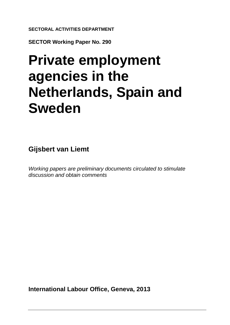**SECTORAL ACTIVITIES DEPARTMENT**

**SECTOR Working Paper No. 290**

# **Private employment agencies in the Netherlands, Spain and Sweden**

**Gijsbert van Liemt**

*Working papers are preliminary documents circulated to stimulate discussion and obtain comments*

**International Labour Office, Geneva, 2013**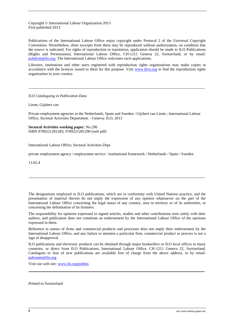Copyright © International Labour Organization 2013 First published 2013

Publications of the International Labour Office enjoy copyright under Protocol 2 of the Universal Copyright Convention. Nevertheless, short excerpts from them may be reproduced without authorization, on condition that the source is indicated. For rights of reproduction or translation, application should be made to ILO Publications (Rights and Permissions), International Labour Office, CH-1211 Geneva 22, Switzerland, or by email: [pubdroit@ilo.org.](mailto:pubdroit@ilo.org) The International Labour Office welcomes such applications.

Libraries, institutions and other users registered with reproduction rights organizations may make copies in accordance with the licences issued to them for this purpose. Visit [www.ifrro.org](http://www.ifrro.org/) to find the reproduction rights organization in your country.

*ILO Cataloguing in Publication Data*

Liemt, Gijsbert van

Private employment agencies in the Netherlands, Spain and Sweden / Gijsbert van Liemt ; International Labour Office, Sectoral Activities Department. - Geneva: ILO, 2013

**Sectoral Activities working paper**; No.290 ISBN 9789221281283; 9789221281290 (web pdf)

International Labour Office; Sectoral Activities Dept.

private employment agency / employment service / institutional framework / Netherlands / Spain / Sweden

13.02.4

The designations employed in ILO publications, which are in conformity with United Nations practice, and the presentation of material therein do not imply the expression of any opinion whatsoever on the part of the International Labour Office concerning the legal status of any country, area or territory or of its authorities, or concerning the delimitation of its frontiers.

The responsibility for opinions expressed in signed articles, studies and other contributions rests solely with their authors, and publication does not constitute an endorsement by the International Labour Office of the opinions expressed in them.

Reference to names of firms and commercial products and processes does not imply their endorsement by the International Labour Office, and any failure to mention a particular firm, commercial product or process is not a sign of disapproval.

ILO publications and electronic products can be obtained through major booksellers or ILO local offices in many countries, or direct from ILO Publications, International Labour Office, CH-1211 Geneva 22, Switzerland. Catalogues or lists of new publications are available free of charge from the above address, or by email: [pubvente@ilo.org](mailto:pubvente@ilo.org)

Visit our web site: [www.ilo.org/publns](http://www.ilo.org/publns)

Printed in Switzerland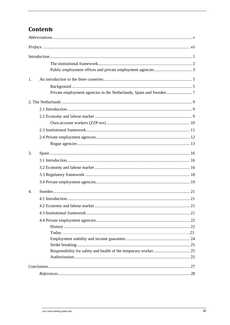# **Contents**

| 1.               |  |
|------------------|--|
|                  |  |
|                  |  |
|                  |  |
|                  |  |
|                  |  |
|                  |  |
|                  |  |
|                  |  |
|                  |  |
| 3.               |  |
|                  |  |
|                  |  |
|                  |  |
|                  |  |
| $\overline{4}$ . |  |
|                  |  |
|                  |  |
|                  |  |
|                  |  |
|                  |  |
|                  |  |
|                  |  |
|                  |  |
|                  |  |
|                  |  |
|                  |  |
|                  |  |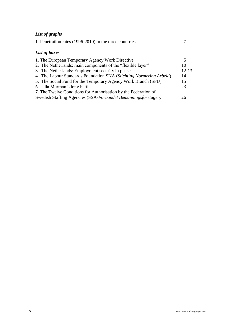## *List of graphs*

| 1. Penetration rates (1996-2010) in the three countries             |           |
|---------------------------------------------------------------------|-----------|
| List of boxes                                                       |           |
| 1. The European Temporary Agency Work Directive                     |           |
| 2. The Netherlands: main components of the "flexible layer"         | 10        |
| 3. The Netherlands: Employment security in phases                   | $12 - 13$ |
| 4. The Labour Standards Foundation SNA (Stichting Normering Arbeid) | 14        |
| 5. The Social Fund for the Temporary Agency Work Branch (SFU)       | 15        |
| 6. Ulla Murman's long battle                                        | 23        |
| 7. The Twelve Conditions for Authorisation by the Federation of     |           |
| Swedish Staffing Agencies (SSA-Förbundet Bemanningsföretagen)       | 26        |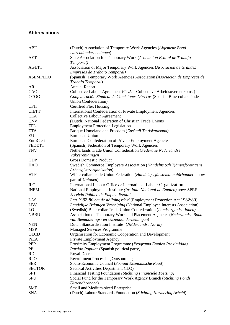## <span id="page-4-0"></span>**Abbreviations**

| <b>ABU</b>      | (Dutch) Association of Temporary Work Agencies (Algemene Bond<br>Uitzendondernemingen)               |
|-----------------|------------------------------------------------------------------------------------------------------|
| <b>AETT</b>     | State Association for Temporary Work (Asociación Estatal de Trabajo<br>Temporal)                     |
| <b>AGETT</b>    | Association of Major Temporary Work Agencies (Asociación de Grandes<br>Empresas de Trabajo Temporal) |
| <b>ASEMPLEO</b> | (Spanish) Temporary Work Agencies Association (Asociación de Empresas de<br>Trabajo Temporal)        |
| AR              | <b>Annual Report</b>                                                                                 |
| CAO             | Collective Labour Agreement (CLA – Collectieve Arbeidsovereenkomst)                                  |
| <b>CCOO</b>     | Confederación Sindical de Comisiones Obreras (Spanish Blue-collar Trade                              |
|                 | Union Confederation)                                                                                 |
| <b>CFH</b>      | Certified Flex Housing                                                                               |
| <b>CIETT</b>    | International Confederation of Private Employment Agencies                                           |
| <b>CLA</b>      | <b>Collective Labour Agreement</b>                                                                   |
| <b>CNV</b>      | (Dutch) National Federation of Christian Trade Unions                                                |
| <b>EPL</b>      | <b>Employment Protection Legislation</b>                                                             |
| <b>ETA</b>      | Basque Homeland and Freedom (Euskadi Ta Askatasuna)                                                  |
| EU              | European Union                                                                                       |
| EuroCiett       | European Confederation of Private Employment Agencies                                                |
| <b>FEDETT</b>   | (Spanish) Federation of Temporary Work Agencies                                                      |
| <b>FNV</b>      | Netherlands Trade Union Confederation (Federatie Nederlandse                                         |
|                 | Vakverenigingen)                                                                                     |
| <b>GDP</b>      | <b>Gross Domestic Product</b>                                                                        |
| <b>HAO</b>      | Swedish Commerce Employers Association (Handelns och Tjänsteföretagens                               |
|                 | Arbetsgivarorganisation)                                                                             |
| <b>HTF</b>      | White-collar Trade Union Federation (Handels) Tjänstemannaförbundet – now                            |
|                 | part of Unionen)                                                                                     |
| <b>ILO</b>      | International Labour Office or International Labour Organization                                     |
| <b>INEM</b>     | National Employment Institute (Instituto Nacional de Empleo) now: SPEE                               |
|                 | Servicio Público de Empleo Estatal                                                                   |
| LAS             | Lag 1982:80 om Anställningsskyd (Employment Protection Act 1982:80)                                  |
| LBV             | Landelijke Belangen Vereniging (National Employee Interests Association)                             |
| LO              | (Swedish) Blue-collar Trade Union Confederation (Landsorganisationen)                                |
| <b>NBBU</b>     | Association of Temporary Work and Placement Agencies (Nederlandse Bond                               |
|                 | van Bemiddelings- en Uitzendondernemingen)                                                           |
| <b>NEN</b>      | Dutch Standardisation Institute (NEderlandse Norm)                                                   |
| <b>MSP</b>      | <b>Managed Services Programme</b>                                                                    |
| <b>OECD</b>     | Organisation for Economic Cooperation and Development                                                |
| PrEA            | Private Employment Agency                                                                            |
| <b>PEP</b>      | Proximity Employment Programme (Programa Empleo Proximidad)                                          |
| PP              | Partido Popular (Spanish political party)                                                            |
| RD              | <b>Royal Decree</b>                                                                                  |
| <b>RPO</b>      | <b>Recruitment Processing Outsourcing</b>                                                            |
| <b>SER</b>      | Socio-Economic Council (Sociaal Economische Raad)                                                    |
| <b>SECTOR</b>   | Sectoral Activities Department (ILO)                                                                 |
| <b>SFT</b>      | Financial Testing Foundation (Stichting Financiële Toetsing)                                         |
| <b>SFU</b>      | Social Fund for the Temporary Work Agency Branch (Stichting Fonds                                    |
|                 | Uitzendbranche)                                                                                      |
| <b>SME</b>      | Small and Medium-sized Enterprise                                                                    |
| <b>SNA</b>      | (Dutch) Labour Standards Foundation (Stichting Normering Arbeid)                                     |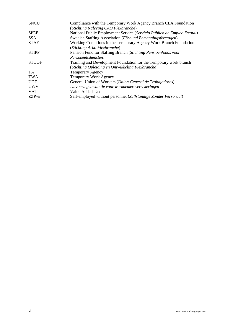| <b>SNCU</b>  | Compliance with the Temporary Work Agency Branch CLA Foundation         |
|--------------|-------------------------------------------------------------------------|
|              | (Stichting Naleving CAO Flexbranche)                                    |
| <b>SPEE</b>  | National Public Employment Service (Servicio Público de Empleo Estatal) |
| SSA.         | Swedish Staffing Association (Förbund Bemanningsföretagen)              |
| <b>STAF</b>  | Working Conditions in the Temporary Agency Work Branch Foundation       |
|              | (Stichting Arbo Flexbranche)                                            |
| <b>STIPP</b> | Pension Fund for Staffing Branch (Stichting Pensioenfonds voor          |
|              | Personeelsdiensten)                                                     |
| <b>STOOF</b> | Training and Development Foundation for the Temporary work branch       |
|              | (Stichting Opleiding en Ontwikkeling Flexbranche)                       |
| <b>TA</b>    | <b>Temporary Agency</b>                                                 |
| <b>TWA</b>   | Temporary Work Agency                                                   |
| <b>UGT</b>   | General Union of Workers (Unión General de Trabajadores)                |
| <b>UWV</b>   | Uitvoeringsinstantie voor werknemersverzekeringen                       |
| <b>VAT</b>   | Value Added Tax                                                         |
| ZZP-er       | Self-employed without personnel (Zelfstandige Zonder Personeel)         |
|              |                                                                         |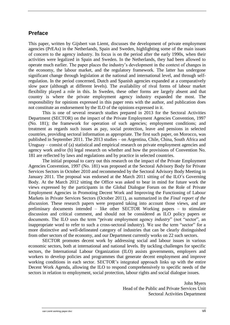## <span id="page-6-0"></span>**Preface**

This paper, written by Gijsbert van Liemt, discusses the development of private employment agencies (PrEAs) in the Netherlands, Spain and Sweden, highlighting some of the main issues of concern to the agency industry. Its focus is on the period after the early 1990s, when their activities were legalized in Spain and Sweden. In the Netherlands, they had been allowed to operate much earlier. The paper places the industry's development in the context of changes in the economy, the labour market, and the regulatory framework. The latter has undergone significant change through legislation at the national and international level, and through selfregulation. In the period concerned, Dutch and Spanish agencies expanded at a comparatively slow pace (although at different levels). The availability of rival forms of labour market flexibility played a role in this. In Sweden, these other forms are largely absent and that country is where the private employment agency industry expanded the most. The responsibility for opinions expressed in this paper rests with the author, and publication does not constitute an endorsement by the ILO of the opinions expressed in it.

This is one of several research studies prepared in 2013 for the Sectoral Activities Department (SECTOR) on the impact of the Private Employment Agencies Convention, 1997 (No. 181); the framework for operation of such agencies; employment conditions; and treatment as regards such issues as pay, social protection, leave and pensions in selected countries, providing sectoral information as appropriate. The first such paper, on Morocco, was published in September 2011. The 2013 studies – on Argentina, Chile, China, South Africa and Uruguay – consist of (a) statistical and empirical research on private employment agencies and agency work and/or (b) legal research on whether and how the provisions of Convention No. 181 are reflected by laws and regulations and by practice in selected countries.

The initial proposal to carry out this research on the impact of the Private Employment Agencies Convention, 1997 (No. 181) was proposed at the Sectoral Advisory Body for Private Services Sectors in October 2010 and recommended by the Sectoral Advisory Body Meeting in January 2011. The proposal was endorsed at the March 2011 sitting of the ILO's Governing Body. At the March 2012 sitting the Office was asked to bear in mind for future work the views expressed by the participants in the Global Dialogue Forum on the Role of Private Employment Agencies in Promoting Decent Work and Improving the Functioning of Labour Markets in Private Services Sectors (October 2011), as summarized in the *Final report of the discussion*. These research papers were prepared taking into account those views, and are preliminary documents intended – like other SECTOR Working papers – to stimulate discussion and critical comment, and should not be considered as ILO policy papers or documents. The ILO uses the term "private employment agency *industry*" (not "sector", an inappropriate word to refer to such a cross-sectoral industry). We use the term "sector" for a more distinctive and well-delineated category of industries that can be clearly distinguished from other sectors of the economy, and our Department currently works on 22 such sectors.

SECTOR promotes decent work by addressing social and labour issues in various economic sectors, both at international and national levels. By tackling challenges for specific sectors, the International Labour Organization (ILO) assists governments, employers and workers to develop policies and programmes that generate decent employment and improve working conditions in each sector. SECTOR's integrated approach links up with the entire Decent Work Agenda, allowing the ILO to respond comprehensively to specific needs of the sectors in relation to employment, social protection, labour rights and social dialogue issues.

> John Myers Head of the Public and Private Services Unit Sectoral Activities Department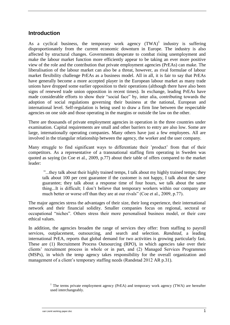## <span id="page-8-0"></span>**Introduction**

As a cyclical business, the temporary work agency  $(TWA)^1$  industry is suffering disproportionately from the current economic downturn in Europe. The industry is also affected by structural changes. Governments desperate to combat rising unemployment and make the labour market function more efficiently appear to be taking an ever more positive view of the role and the contribution that private employment agencies (PrEAs) can make. The liberalisation of the labour market can also be a threat, however, as rival formulae of labour market flexibility challenge PrEAs as a business model. All in all, it is fair to say that PrEAs have generally become a more accepted player in the European labour market as many trade unions have dropped some earlier opposition to their operations (although there have also been signs of renewed trade union opposition in recent times). In exchange, leading PrEAs have made considerable efforts to show their "social face" by, inter alia, contributing towards the adoption of social regulations governing their business at the national, European and international level. Self-regulation is being used to draw a firm line between the respectable agencies on one side and those operating in the margins or outside the law on the other.

There are thousands of private employment agencies in operation in the three countries under examination. Capital requirements are small and other barriers to entry are also low. Some are large, internationally operating companies. Many others have just a few employees. All are involved in the triangular relationship between the agency, the worker and the user company.

Many struggle to find significant ways to differentiate their 'product' from that of their competitors. As a representative of a transnational staffing firm operating in Sweden was quoted as saying (in Coe et al., 2009, p.77) about their table of offers compared to the market leader:

"...they talk about their highly trained temps, I talk about my highly trained temps; they talk about 100 per cent guarantee if the customer is not happy, I talk about the same guarantee; they talk about a response time of four hours, we talk about the same thing...It is difficult; I don't believe that temporary workers within our company are much better or worse off than they are at our rivals" (Coe et al., 2009, p.77).

The major agencies stress the advantages of their size, their long experience, their international network and their financial solidity. Smaller companies focus on regional, sectoral or occupational "niches". Others stress their more personalised business model, or their core ethical values.

In addition, the agencies broaden the range of services they offer: from staffing to payroll services, outplacement, outsourcing, and search and selection. *Randstad*, a leading international PrEA, reports that global demand for two activities is growing particularly fast. These are (1) Recruitment Process Outsourcing (RPO), in which agencies take over their clients' recruitment process in whole or in part, and (2) Managed Services Programmes (MSPs), in which the temp agency takes responsibility for the overall organization and management of a client's temporary staffing needs (Randstad 2012 AR p.31).

<sup>&</sup>lt;sup>1</sup> The terms private employment agency (PrEA) and temporary work agency (TWA) are hereafter used interchangeably.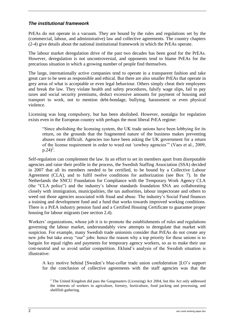#### <span id="page-9-0"></span>*The institutional framework*

PrEAs do not operate in a vacuum. They are bound by the rules and regulations set by the (commercial, labour, and administrative) law and collective agreements. The country chapters (2-4) give details about the national institutional framework in which the PrEAs operate.

The labour market deregulation drive of the past two decades has been good for the PrEAs. However, deregulation is not uncontroversial, and opponents tend to blame PrEAs for the precarious situation in which a growing number of people find themselves.

The large, internationally active companies tend to operate in a transparent fashion and take great care to be seen as responsible and ethical. But there are also smaller PrEAs that operate in grey areas of what is acceptable or even legal behaviour. Others simply cheat their employees and break the law. They violate health and safety procedures, falsify wage slips, fail to pay taxes and social security premiums, deduct excessive amounts for payment of housing and transport to work, not to mention debt-bondage, bullying, harassment or even physical violence.

Licensing was long compulsory, but has been abolished. However, nostalgia for regulation exists even in the European country with perhaps the most liberal PrEA regime:

"Since abolishing the licensing system, the UK trade unions have been lobbying for its return, on the grounds that the fragmented nature of the business makes preventing abuses more difficult. Agencies too have been asking the UK government for a return of the license requirement in order to weed out 'cowboy agencies'" (Vaes et al., 2009,  $p.24)^2$ .

Self-regulation can complement the law. In an effort to set its members apart from disreputable agencies and raise their profile in the process, the Swedish Staffing Association (SSA) decided in 2007 that all its members needed to be certified, to be bound by a Collective Labour Agreement (CLA), and to fulfil twelve conditions for authorization (see Box 7). In the Netherlands the SNCU Foundation for Compliance with the Temporary Work Agency CLA (the "CLA police") and the industry's labour standards foundation SNA are collaborating closely with immigration, municipalities, the tax authorities, labour inspectorate and others to weed out those agencies associated with fraud and abuse. The industry's Social Fund finances a training and development fund and a fund that works towards improved working conditions. There is a PrEA industry pension fund and a Certified Housing Certificate to guarantee proper housing for labour migrants (see section 2.4).

Workers' organizations, whose job it is to promote the establishments of rules and regulations governing the labour market, understandably view attempts to deregulate that market with suspicion. For example, many Swedish trade unionists consider that PrEAs do not create any new jobs but take away "our" jobs: hence the reason why a top priority for these unions is to bargain for equal rights and payments for temporary agency workers, so as to make their use cost-neutral and so avoid unfair competition. Eklund's analysis of the Swedish situation is illustrative:

A key motive behind [Sweden's blue-collar trade union confederation ]LO's support for the conclusion of collective agreements with the staff agencies was that the

 $2$  The United Kingdom did pass the Gangmasters (Licensing) Act 2004, but this Act only addressed the interests of workers in agriculture, forestry, horticulture, food packing and processing, and shellfish gathering.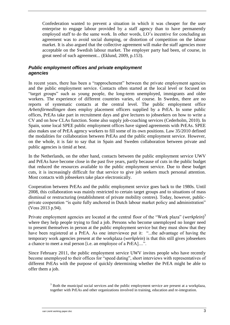Confederation wanted to prevent a situation in which it was cheaper for the user enterprise to engage labour provided by a staff agency than to have permanently employed staff to do the same work. In other words, LO's incentive for concluding an agreement was to avoid social dumping, or distortion of competition on the labour market. It is also argued that the collective agreement will make the staff agencies more acceptable on the Swedish labour market. The employer party had been, of course, in great need of such agreement... (Eklund, 2009, p.153).

#### <span id="page-10-0"></span>*Public employment offices and private employment agencies*

In recent years, there has been a "rapprochement" between the private employment agencies and the public employment service. Contacts often started at the local level or focused on "target groups" such as young people, the long-term unemployed, immigrants and older workers. The experience of different countries varies, of course. In Sweden, there are no reports of systematic contacts at the central level. The public employment office *Arbetsförmedlingen* does employ placement officers supplied by a PrEA. In some public offices, PrEAs take part in recruitment days and give lectures to jobseekers on how to write a CV and on how CLAs function. Some also supply job-coaching services (Cederholm, 2010). In Spain, some local SPEE public employment offices have signed agreements with PrEAs. SPEE also makes use of PrEA agency workers to fill some of its own positions. Law 35/2010 defined the modalities for collaboration between PrEAs and the public employment service. However, on the whole, it is fair to say that in Spain and Sweden collaboration between private and public agencies is timid at best.

In the Netherlands, on the other hand, contacts between the public employment service UWV and PrEAs have become close in the past five years, partly because of cuts in the public budget that reduced the resources available to the public employment service. Due to these budget cuts, it is increasingly difficult for that service to give job seekers much personal attention. Most contacts with jobseekers take place electronically.

Cooperation between PrEAs and the public employment service goes back to the 1980s. Until 2008, this collaboration was mainly restricted to certain target groups and to situations of mass dismissal or restructuring (establishment of private mobility centres). Today, however, publicprivate cooperation "is quite fully anchored in Dutch labour market policy and administration" (Voss 2013 p.94).

Private employment agencies are located at the central floor of the "Work plaza" (*werkplein*)<sup>3</sup> where they help people trying to find a job. Persons who become unemployed no longer need to present themselves in person at the public employment service but they must show that they have been registered at a PrEA. As one interviewee put it: "...the advantage of having the temporary work agencies present at the workplaza (*werkplein*) is that this still gives jobseekers a chance to meet a real person [i.e. an employee of a PrEA]....".

Since February 2011, the public employment service UWV invites people who have recently become unemployed to their offices for "speed dating", short interviews with representatives of different PrEAs with the purpose of quickly determining whether the PrEA might be able to offer them a job.

> <sup>3</sup> Both the municipal social services and the public employment service are present at a workplaza, together with PrEAs and other organizations involved in training, education and re-integration.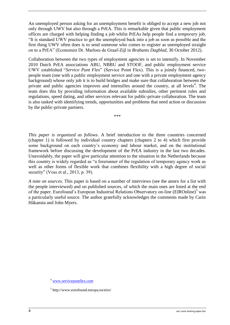An unemployed person asking for an unemployment benefit is obliged to accept a new job not only through UWV but also through a PrEA. This is remarkable given that public employment offices are charged with helping finding a job whilst PrEAs help people find a *temporary* job. "It is standard UWV practice to get the unemployed back into a job as soon as possible and the first thing UWV often does is to send someone who comes to register as unemployed straight on to a PrEA" (Economist Dr. Marloes de Graaf-Zijl in *Brabants Dagblad*, 30 October 2012).

Collaboration between the two types of employment agencies is set to intensify. In November 2010 Dutch PrEA associations ABU, NBBU and STOOF, and public employment service UWV established "*Service Punt Flex*" (Service Point Flex). This is a jointly financed, twopeople team (one with a public employment service and one with a private employment agency background) whose only job it is to build bridges and make sure that collaboration between the private and public agencies improves and intensifies around the country, at all levels<sup>4</sup>. The team does this by providing information about available subsidies, other pertinent rules and regulations, speed dating, and other services relevant for public-private collaboration. The team is also tasked with identifying trends, opportunities and problems that need action or discussion by the public-private partners.

*\*\*\**

*This paper is organized as follows*. A brief introduction to the three countries concerned (chapter 1) is followed by individual country chapters (chapters 2 to 4) which first provide some background on each country's economy and labour market, and on the institutional framework before discussing the development of the PrEA industry in the last two decades. Unavoidably, the paper will give particular attention to the situation in the Netherlands because this country is widely regarded as "a forerunner of the regulation of temporary agency work as well as other forms of flexible work that combines flexibility with a high degree of social security" (Voss et al., 2013, p. 39).

*A note on sources*. This paper is based on a number of interviews (see the annex for a list with the people interviewed) and on published sources, of which the main ones are listed at the end of the paper. Eurofound's European Industrial Relations Observatory on-line (EIROnline)<sup>5</sup> was a particularly useful source. The author gratefully acknowledges the comments made by Carin Håkansta and John Myers.

<sup>4</sup> [www.servicepuntflex.com](http://www.servicepuntflex.com/)

<sup>5</sup> http://www.eurofound.europa.eu/eiro/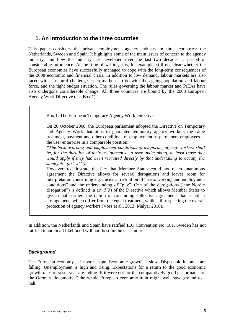## <span id="page-12-0"></span>**1. An introduction to the three countries**

This paper considers the private employment agency industry in three countries: the Netherlands, Sweden and Spain. It highlights some of the main issues of concern to the agency industry, and how the industry has developed over the last two decades, a period of considerable turbulence. At the time of writing it is, for example, still not clear whether the European economies have successfully managed to cope with the long-term consequences of the 2008 economic and financial crisis. In addition to low demand, labour markets are also faced with structural challenges such as those to do with the ageing population and labour force, and the tight budget situation. The rules governing the labour market and PrEAs have also undergone considerable change. All three countries are bound by the 2008 European Agency Work Directive (see Box 1).

Box 1: The European Temporary Agency Work Directive

On 20 October 2008, the European parliament adopted the Directive on Temporary and Agency Work that aims to guarantee temporary agency workers the same treatment, payment and other conditions of employment as permanent employees at the user enterprise in a comparable position.

*"The basic working and employment conditions of temporary agency workers shall be, for the duration of their assignment at a user undertaking, at least those that would apply if they had been recruited directly by that undertaking to occupy the same job" (art. 5(1)).*

However, to illustrate the fact that Member States could not reach unanimous agreement the Directive allows for several derogations and leaves room for interpretation concerning e.g. the exact definition of "basic working and employment conditions" and the understanding of "pay". One of the derogations ("the Nordic derogation") is defined in art. 5(3) of the Directive which allows Member States to give social partners the option of concluding collective agreements that establish arrangements which differ from the equal treatment, while still respecting the overall protection of agency workers (Voss et al., 2013; Malyar 2010).

In addition, the Netherlands and Spain have ratified ILO Convention No. 181. Sweden has not ratified it and in all likelihood will not do so in the near future.

#### <span id="page-12-1"></span>*Background*

The European economy is in poor shape. Economic growth is slow. Disposable incomes are falling. Unemployment is high and rising. Expectations for a return to the good economic growth rates of yesteryear are fading. If it were not for the comparatively good performance of the German "locomotive" the whole European economic train might well have ground to a halt.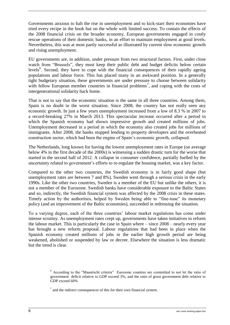Governments anxious to halt the rise in unemployment and to kick-start their economies have tried every recipe in the book but on the whole with limited success. To contain the effects of the 2008 financial crisis on the broader economy, European governments engaged in costly rescue operations of their domestic banks, in an effort to maintain employment at good levels. Nevertheless, this was at most partly successful as illustrated by current slow economic growth and rising unemployment.

EU governments are, in addition, under pressure from two structural factors. First, under close watch from "Brussels", they must keep their public debt and budget deficits below certain levels<sup>6</sup>. Second, they have to cope with the financial consequences of their rapidly ageing populations and labour force. This has placed many in an awkward position. In a generally tight budgetary situation, these governments are under pressure to choose between solidarity with fellow European member countries in financial problems<sup>7</sup>, and coping with the costs of intergenerational solidarity back home.

That is not to say that the economic situation is the same in all three countries. Among them, Spain is no doubt in the worst situation. Since 2008, the country has not really seen any economic growth. In just a few years unemployment increased from a low of 8.3 % in 2007 to a record-breaking 27% in March 2013. This spectacular increase occurred after a period in which the Spanish economy had shown impressive growth and created millions of jobs. Unemployment decreased in a period in which the economy also created jobs for millions of immigrants. After 2008, the banks stopped lending to property developers and the overheated construction sector, which had been the engine of Spain's economic growth, collapsed.

The Netherlands, long known for having the lowest unemployment rates in Europe (on average below 4% in the first decade of the 2000s) is witnessing a sudden drastic turn for the worse that started in the second half of 2012. A collapse in consumer confidence, partially fuelled by the uncertainty related to government's efforts to re-regulate the housing market, was a key factor.

Compared to the other two countries, the Swedish economy is in fairly good shape (but unemployment rates are between 7 and 8%). Sweden went through a serious crisis in the early 1990s. Like the other two countries, Sweden is a member of the EU but unlike the others, it is not a member of the Eurozone. Swedish banks have considerable exposure to the Baltic States and so, indirectly, the Swedish financial system was affected by the 2008 crisis in these states. Timely action by the authorities, helped by Sweden being able to "fine-tune" its monetary policy (and an improvement of the Baltic economies), succeeded in redressing the situation.

To a varying degree, each of the three countries' labour market regulations has come under intense scrutiny. As unemployment rates crept up, governments have taken initiatives to reform the labour market. This is particularly the case in Spain where – since 2008 – nearly every year has brought a new reform proposal. Labour regulations that had been in place when the Spanish economy created millions of jobs in the earlier high growth period are being weakened, abolished or suspended by law or decree. Elsewhere the situation is less dramatic but the trend is clear.

<sup>6</sup> According to the "Maastricht criteria" Eurozone countres are committed to not let the ratio of government deficit relative to GDP exceed 3%, and the ratio of gross government debt relative to GDP exceed 60%

 $<sup>7</sup>$  and the indirect consequences of this for their own financial system.</sup>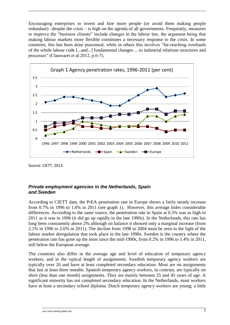Encouraging enterprises to invest and hire more people (or avoid them making people redundant) –despite the crisis – is high on the agenda of all governments. Frequently, measures to improve the "business climate" include changes in the labour law, the argument being that making labour markets more flexible constitutes a necessary response to the crisis. In some countries, this has been done piecemeal, while in others this involves "far-reaching overhauls of the whole labour code [...and...] fundamental changes ... to industrial relations structures and processes" (Clauwaert et al 2012, p.6-7).



Source: CIETT, 2013.

#### <span id="page-14-0"></span>*Private employment agencies in the Netherlands, Spain and Sweden*

According to CIETT data, the PrEA penetration rate in Europe shows a fairly steady increase from 0.7% in 1996 to 1.6% in 2011 (see graph 1). However, this average hides considerable differences. According to the same source, the penetration rate in Spain at 0.5% was as high in 2011 as it was in 1996 (it did go up rapidly in the late 1990s). In the Netherlands, this rate has long been consistently above 2% although on balance it showed only a marginal increase (from 2.1% in 1996 to 2.6% in 2011). The decline from 1998 to 2004 must be seen in the light of the labour market deregulation that took place in the late 1990s. Sweden is the country where the penetration rate has gone up the most since the mid-1990s, from 0.2% in 1996 to 1.4% in 2011, still below the European average.

The countries also differ in the average age and level of education of temporary agency workers, and in the typical length of assignments. Swedish temporary agency workers are typically over 26 and have at least completed secondary education. Most are on assignments that last at least three months. Spanish temporary agency workers, in contrast, are typically on short (less than one month) assignments. They are mainly between 25 and 45 years of age. A significant minority has not completed secondary education. In the Netherlands, most workers have at least a secondary school diploma. Dutch temporary agency workers are young; a little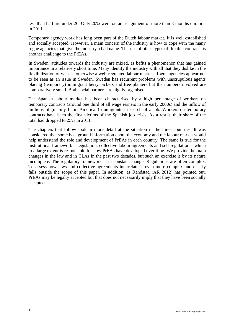less than half are under 26. Only 20% were on an assignment of more than 3 months duration in 2011.

Temporary agency work has long been part of the Dutch labour market. It is well established and socially accepted. However, a main concern of the industry is how to cope with the many rogue agencies that give the industry a bad name. The rise of other types of flexible contracts is another challenge to the PrEAs.

In Sweden, attitudes towards the industry are mixed, as befits a phenomenon that has gained importance in a relatively short time. Many identify the industry with all that they dislike in the flexibilization of what is otherwise a well-regulated labour market. Rogue agencies appear not to be seen as an issue in Sweden. Sweden has recurrent problems with unscrupulous agents placing (temporary) immigrant berry pickers and tree planters but the numbers involved are comparatively small. Both social partners are highly organised.

The Spanish labour market has been characterised by a high percentage of workers on temporary contracts (around one third of all wage earners in the early 2000s) and the inflow of millions of (mainly Latin American) immigrants in search of a job. Workers on temporary contracts have been the first victims of the Spanish job crisis. As a result, their share of the total had dropped to 25% in 2011.

The chapters that follow look in more detail at the situation in the three countries. It was considered that some background information about the economy and the labour market would help understand the role and development of PrEAs in each country. The same is true for the institutional framework – legislation, collective labour agreements and self-regulation – which to a large extent is responsible for how PrEAs have developed over time. We provide the main changes in the law and in CLAs in the past two decades, but such an exercise is by its nature incomplete. The regulatory framework is in constant change. Regulations are often complex. To assess how laws and collective agreements interrelate is even more complex and clearly falls outside the scope of this paper. In addition, as Randstad (AR 2012) has pointed out, PrEAs may be legally accepted but that does not necessarily imply that they have been socially accepted.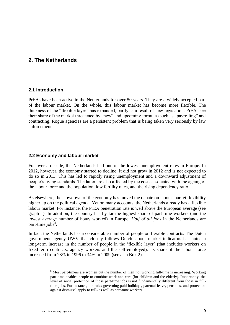## <span id="page-16-1"></span><span id="page-16-0"></span>**2. The Netherlands**

#### **2.1 Introduction**

PrEAs have been active in the Netherlands for over 50 years. They are a widely accepted part of the labour market. On the whole, this labour market has become more flexible. The thickness of the "flexible layer" has expanded, partly as a result of new legislation. PrEAs see their share of the market threatened by "new" and upcoming formulas such as "payrolling" and contracting. Rogue agencies are a persistent problem that is being taken very seriously by law enforcement.

#### <span id="page-16-2"></span>**2.2 Economy and labour market**

For over a decade, the Netherlands had one of the lowest unemployment rates in Europe. In 2012, however, the economy started to decline. It did not grow in 2012 and is not expected to do so in 2013. This has led to rapidly rising unemployment and a downward adjustment of people's living standards. The latter are also affected by the costs associated with the ageing of the labour force and the population, low fertility rates, and the rising dependency ratio.

As elsewhere, the slowdown of the economy has moved the debate on labour market flexibility higher up on the political agenda. Yet on many accounts, the Netherlands already has a flexible labour market. For instance, the PrEA penetration rate is well above the European average (see graph 1). In addition, the country has by far the highest share of part-time workers (and the lowest average number of hours worked) in Europe. *Half of all jobs* in the Netherlands are part-time jobs $8$ .

In fact, the Netherlands has a considerable number of people on flexible contracts. The Dutch government agency UWV that closely follows Dutch labour market indicators has noted a long-term increase in the number of people in the 'flexible layer' (that includes workers on fixed-term contracts, agency workers and the self-employed). Its share of the labour force increased from 23% in 1996 to 34% in 2009 (see also Box 2).

> <sup>8</sup> Most part-timers are women but the number of men not working full-time is increasing. Working part-time enables people to combine work and care (for children and the elderly). Importantly, the level of social protection of those part-time jobs is not fundamentally different from those in fulltime jobs. For instance, the rules governing paid holidays, parental leave, pensions, and protection against dismissal apply to full- as well as part-time workers.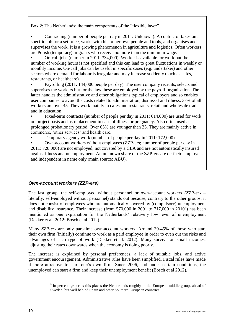<span id="page-17-0"></span>Box 2: The Netherlands: the main components of the "flexible layer"

• Contracting (number of people per day in 2011: Unknown). A contractor takes on a specific job for a set price, works with his or her own people and tools, and organises and supervises the work. It is a growing phenomenon in agriculture and logistics. Often workers are Polish (temporary) migrants who receive no more than the minimum wage.

• On-call jobs (number in 2011: 334,000). Worker is available for work but the number of working hours is not specified and this can lead to great fluctuations in weekly or monthly income. On-call jobs can be useful in specific cases (e.g. undertaker) and other sectors where demand for labour is irregular and may increase suddenly (such as cafés, restaurants, or healthcare).

• Payrolling (2011: 144,000 people per day). The user company recruits, selects and supervises the workers but for the law these are employed by the payroll-organisation. The latter handles the administrative and other obligations typical of employers and so enables user companies to avoid the costs related to administration, dismissal and illness. 37% of all workers are over 45. They work mainly in cafés and restaurants, retail and wholesale trade and in education.

Fixed-term contracts (number of people per day in 2011: 614,000) are used for work on project basis and as replacement in case of illness or pregnancy. Also often used as prolonged probationary period. Over 65% are younger than 35. They are mainly active in commerce, 'other services' and health care.

• Temporary agency work (number of people per day in 2011: 172,000)

• Own-account workers without employees (ZZP-ers; number of people per day in 2011: 728,000) are not employed, not covered by a CLA and are not automatically insured against illness and unemployment. An unknown share of the ZZP-ers are de-facto employees and independent in name only (main source: ABU).

#### *Own-account workers (ZZP-ers)*

The last group, the self-employed without personnel or own-account workers (*ZZP-ers –* literally: self-employed without personnel) stands out because, contrary to the other groups, it does not consist of employees who are automatically covered by (compulsory) unemployment and disability insurance. Their increase (from 570,000 in 2001 to 717,000 in 2010<sup>9</sup>) has been mentioned as one explanation for the Netherlands' relatively low level of unemployment (Dekker et al. 2012; Bosch et al 2012).

Many *ZZP-ers* are only part-time own-account workers. Around 30-45% of those who start their own firm (initially) continue to work as a paid employee in order to even out the risks and advantages of each type of work (Dekker et al. 2012). Many survive on small incomes, adjusting their rates downwards when the economy is doing poorly.

The increase is explained by personal preferences, a lack of suitable jobs, and active government encouragement. Administrative rules have been simplified. Fiscal rules have made it more attractive to start one's own firm. Since 2006, and under certain conditions, the unemployed can start a firm and keep their unemployment benefit (Bosch et al 2012).

<sup>&</sup>lt;sup>9</sup> In percentage terms this places the Netherlands roughly in the European middle group, ahead of Sweden, but well behind Spain and other Southern European countries.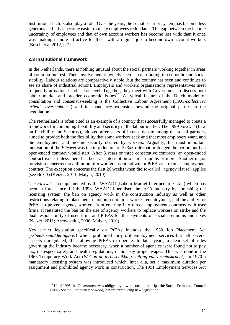Institutional factors also play a role. Over the years, the social security system has become less generous and it has become easier to make employees redundant. The gap between the income uncertainty of employees and that of own account workers has become less wide than it once was, making it more attractive for those with a regular job to become own account workers (Bosch et al 2012, p.7).

#### <span id="page-18-0"></span>**2.3 Institutional framework**

In the Netherlands, there is nothing unusual about the social partners working together in areas of common interest. Their involvement is widely seen as contributing to economic and social stability. Labour relations are comparatively stable (but the country has seen and continues to see its share of industrial action). Employers and workers organizations representatives meet frequently at national and sector level. Together, they meet with Government to discuss both labour market and broader economic issues<sup>10</sup>. A typical feature of the Dutch model of consultation and consensus-seeking is the Collective Labour Agreement (CAO-*collectieve arbeids overeenkomst*) and its mandatory extension beyond the original parties to the negotiation.

The Netherlands is often cited as an example of a country that successfully managed to create a framework for combining flexibility and security in the labour market. The 1999 *Flexwet* (Law on Flexibility and Security), adopted after years of intense debate among the social partners, aimed to provide both the flexibility that some workers seek and that most employers want, and the employment and income security desired by workers. Arguably, the most important innovation of the *Flexwet* was the introduction of 3x3x3 rule that prolonged the period until an open-ended contract would start. After 3 years or three consecutive contracts, an open-ended contract exists unless there has been an interruption of three months or more. Another major provision concerns the definition of a workers' contract with a PrEA as a regular employment contract. The exception concerns the first 26 weeks when the so-called "agency clause" applies (see Box 3) (Keizer, 2011; Malyar, 2010).

The *Flexwet* is complemented by the WAADI (Labour Market Intermediaries Act) which has been in force since 1 July 1998. WAADI liberalised the PrEA industry by abolishing the licensing system, the ban on agency work in the construction industry as well as other restrictions relating to placement, maximum duration, worker redeployment, and the ability for PrEAs to prevent agency workers from entering into direct employment contracts with user firms. It reiterated the ban on the use of agency workers to replace workers on strike and the dual responsibility of user firms and PrEAs for the payments of social premiums and taxes (Keizer, 2011; Arrowsmith, 2006, Malyar, 2010).

Key earlier legislation specifically on PrEAs includes the 1930 Job Placement Act (*Arbeidsbemiddelingswet*) which prohibited for-profit employment services but left several aspects unregulated, thus allowing PrEAs to operate. In later years, a clear set of rules governing the industry became necessary, when a number of agencies were found not to pay tax, disrespect safety and health regulations, or not pay proper wages. This was done in the 1965 Temporary Work Act (*Wet op de terbeschikking stelling van arbeidskracht)*. In 1970 a mandatory licensing system was introduced which, inter alia, set a maximum duration per assignment and prohibited agency work in construction. The 1991 Employment Services Act

 $10$  Until 1995 the Government was obliged by law to consult the tripartite Social Economic Council (SER- *Sociaal Economische Raad)* before introducing new legislation.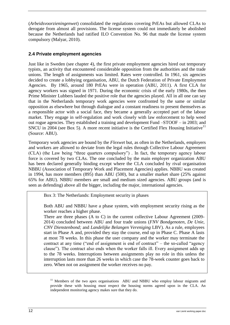(*Arbeidsvoorzieningenwet*) consolidated the regulations covering PrEAs but allowed CLAs to derogate from almost all provisions. The license system could not immediately be abolished because the Netherlands had ratified ILO Convention No. 96 that made the license system compulsory (Malyar, 2010).

#### <span id="page-19-0"></span>**2.4 Private employment agencies**

Just like in Sweden (see chapter 4), the first private employment agencies hired out temporary typists, an activity that encountered considerable opposition from the authorities and the trade unions. The length of assignments was limited. Rates were controlled. In 1961, six agencies decided to create a lobbying organisation, ABU, the Dutch Federation of Private Employment Agencies. By 1965, around 180 PrEAs were in operation (ABU, 2011). A first CLA for agency workers was signed in 1971. During the economic crisis of the early 1980s, the then Prime Minister Lubbers lauded the positive role that the agencies played. All in all one can say that in the Netherlands temporary work agencies were confronted by the same or similar opposition as elsewhere but through dialogue and a constant readiness to present themselves as a responsible actor with a social face, they became a generally accepted part of the labour market. They engage in self-regulation and work closely with law enforcement to help weed out rogue agencies. They established a training and development Fund –STOOF – in 2003; and SNCU in 2004 (see Box 5). A more recent initiative is the Certified Flex Housing Initiative<sup>11</sup> (Source: ABU).

Temporary work agencies are bound by the *Flexwet* but, as often in the Netherlands, employers and workers are allowed to deviate from the legal rules through Collective Labour Agreement (CLA) (the Law being "three quarters compulsory") . In fact, the temporary agency labour force is covered by two CLAs. The one concluded by the main employer organization ABU has been declared generally binding except where the CLA concluded by rival organisation NBBU (Association of Temporary Work and Placement Agencies) applies. NBBU was created in 1994, has more members (895) than ABU (500), but a smaller market share (25% against 65% for ABU). NBBU members are small and medium sized agencies. ABU groups (and is seen as defending) above all the bigger, including the major, international agencies.

Box 3: The Netherlands: Employment security in phases

Both ABU and NBBU have a phase system, with employment security rising as the worker reaches a higher phase.

There are three phases  $(A \text{ to } C)$  in the current collective Labour Agreement (2009-2014) concluded between ABU and four trade unions (*FNV Bondgenoten*, *De Unie*, *CNV Dienstenbond;* and *Landelijke Belangen Vereniging* LBV). As a rule, employees start in Phase A and, provided they stay the course, end up in Phase C. Phase A lasts at most 78 weeks. In this phase the user company and the worker may terminate the contract at any time ("end of assignment is end of contract" – the so-called "agency clause"). The contract also ends when the worker falls ill. Every assignment adds up to the 78 weeks. Interruptions between assignments play no role in this unless the interruption lasts more than 26 weeks in which case the 78-week counter goes back to zero. When not on assignment the worker receives no pay.

<sup>&</sup>lt;sup>11</sup> Members of the two apex organisations ABU and NBBU who employ labour migrants and provide these with housing must respect the housing norms agreed upon in the CLA. An independent monitoring agency makes sure that they do.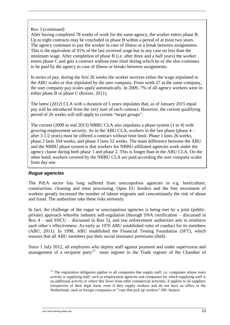#### <span id="page-20-0"></span>Box 3 (continued)

After having completed 78 weeks of work for the same agency, the worker enters phase B. Up to eight contracts may be concluded in phase B within a period of at most two years. The agency continues to pay the worker in case of illness or a break between assignments. This is the equivalent of 91% of the last received wage but in any case no less than the minimum wage. After completion of phase B (i.e. after three and a half years) the worker enters phase C and gets a contract without time limit during which he or she also continues to be paid by the agency in case of illness or breaks between assignments.

In terms of pay, during the first 26 weeks the worker receives either the wage stipulated in the ABU scales or that stipulated by the user company. From week 27 at the same company, the user company pay scales apply automatically. In 2009, 7% of all agency workers were in either phase B or phase C (Keizer, 2011).

The latest (2012) CLA with a duration of 5 years stipulates that, as of January 2015 equal pay will be introduced from the very start of each contract. However, the current qualifying period of 26 weeks will still apply to certain "target groups".

The current (2009 to end 2013) NBBU CLA also stipulates a phase system (1 to 4) with growing employment security. As in the ABU CLA, workers in the last phase (phase 4 – after 3 1/2 years) must be offered a contract without time limit. Phase 1 lasts 26 weeks; phase 2 lasts 104 weeks, and phase 3 lasts 52 weeks. The main difference between the ABU and the NBBU phase system is that workers for NBBU-affiliated agencies work under the agency clause during both phase 1 and phase 2. This is longer than in the ABU CLA. On the other hand, workers covered by the NBBU CLA are paid according the user company scales from day one.

#### *Rogue agencies*

The PrEA sector has long suffered from unscrupulous agencies in e.g. horticulture, construction, cleaning and meat processing. Open EU borders and the free movement of workers greatly increased the number of labour migrants and concomitantly the risk of abuse and fraud. The authorities take these risks seriously.

In fact, the challenge of the rogue or unscrupulous agencies is being met by a joint (publicprivate) approach whereby industry self-regulation (through SNA certification – discussed in Box 4 – and SNCU – discussed in Box 5), and law enforcement authorities aim to reinforce each other's effectiveness. As early as 1976 ABU established rules of conduct for its members (ABU, 2011). In 1998, ABU established the Financial Testing Foundation (SFT), which ensures that all ABU members pay their social insurance premiums (ibid).

Since 1 July 2012, all employers who deploy staff against payment and under supervision and management of a recipient party<sup>12</sup> must register in the Trade register of the Chamber of

 $12$  The registration obligation applies to all companies that supply staff, i.e. companies whose main activity is supplying staff, such as employment agencies and companies for which supplying staff is an additional activity or where this flows from other commercial activities. It applies to all suppliers irrespective of their legal form; even if they supply workers and do not have an office in the Netherlands, such as foreign companies or "vans that pick up workers" (*06- busjes*).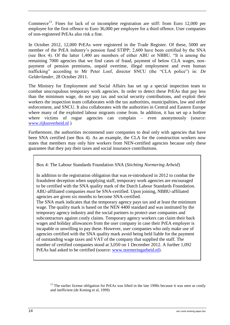Commerce<sup>13</sup>. Fines for lack of or incomplete registration are stiff: from Euro 12,000 per employee for the first offence to Euro 36,000 per employee for a third offence. User companies of non-registered PrEAs also risk a fine.

In October 2012, 12,000 PrEAs were registered in the Trade Register. Of these, 5000 are member of the PrEA industry's pension fund STIPP; 2,600 have been certified by the SNA (see Box 4). Of the latter 1,400 are members of either ABU or NBBU. "It is among the remaining 7000 agencies that we find cases of fraud, payment of below CLA wages, nonpayment of pension premiums, unpaid overtime, illegal employment and even human trafficking" according to Mr Peter Loef, director SNCU (the "CLA police") in: *De Gelderlander*, 28 October 2011.

The Ministry for Employment and Social Affairs has set up a special inspection team to combat unscrupulous temporary work agencies. In order to detect these PrEAs that pay less than the minimum wage, do not pay tax and social security contributions, and exploit their workers the inspection team collaborates with the tax authorities, municipalities, law and order enforcement, and SNCU. It also collaborates with the authorities in Central and Eastern Europe where many of the exploited labour migrants come from. In addition, it has set up a hotline where victims of rogue agencies can complain – even anonymously (source: [www.rijksoverheid.nl](http://www.rijksoverheid.nl/) )

Furthermore, the authorities recommend user companies to deal only with agencies that have been SNA certified (see Box 4). As an example, the CLA for the construction workers now states that members may only hire workers from NEN-certified agencies because only these guarantee that they pay their taxes and social insurance contributions.

Box 4: The Labour Standards Foundation SNA (*Stichting Normering Arbeid*)

In addition to the registration obligation that was re-introduced in 2012 to combat the fraudulent deception when supplying staff, temporary work agencies are encouraged to be certified with the SNA quality mark of the Dutch Labour Standards Foundation. ABU-affiliated companies *must* be SNA-certified. Upon joining, NBBU-affiliated agencies are given six months to become SNA-certified.

The SNA mark indicates that the temporary agency pays tax and at least the minimum wage. The quality mark is based on the NEN 4400 standard and was instituted by the temporary agency industry and the social partners to protect user companies and subcontractors against costly claims. Temporary agency workers can claim their back wages and holiday allowances from the user company in case their PrEA employer is incapable or unwilling to pay these. However, user companies who only make use of agencies certified with the SNA quality mark avoid being held liable for the payment of outstanding wage taxes and VAT of the company that supplied the staff. The number of certified companies stood at 3,050 on 1 December 2012. A further 1,092 PrEAs had asked to be certified (source: [www.normeringarbeid.nl\)](http://www.normeringarbeid.nl/).

 $13$  The earlier license obligation for PrEAs was lifted in the late 1990s because it was seen as costly and inefficient (de Koning et al, 1999)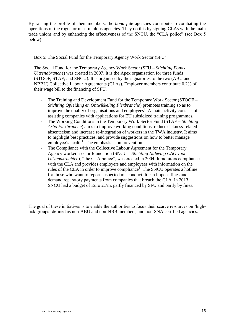By raising the profile of their members, the *bona fide* agencies contribute to combating the operations of the rogue or unscrupulous agencies. They do this by signing CLAs with the main trade unions and by enhancing the effectiveness of the SNCU, the "CLA police" (see Box 5 below).

Box 5: The Social Fund for the Temporary Agency Work Sector (SFU)

The Social Fund for the Temporary Agency Work Sector (SFU – *Stichting Fonds Uitzendbranche*) was created in 2007. It is the Apex organisation for three funds (STOOF; STAF; and SNCU). It is organised by the signatories to the two (ABU and NBBU) Collective Labour Agreements (CLAs). Employer members contribute 0.2% of their wage bill to the financing of SFU.

- The Training and Development Fund for the Temporary Work Sector (STOOF *Stichting Opleiding en Ontwikkeling Flexbranche*) promotes training so as to improve the quality of organisations and employees<sup>1</sup>. A main activity consists of assisting companies with applications for EU subsidized training programmes.
- The Working Conditions in the Temporary Work Sector Fund (STAF *Stichting Arbo Flexbranche*) aims to improve working conditions, reduce sickness-related absenteeism and increase re-integration of workers in the TWA industry. It aims to highlight best practices, and provide suggestions on how to better manage employee's health<sup>1</sup>. The emphasis is on prevention.
- The Compliance with the Collective Labour Agreement for the Temporary Agency workers sector foundation (SNCU – *Stichting Naleving CAO voor Uitzendkrachten*), "the CLA police", was created in 2004. It monitors compliance with the CLA and provides employers and employees with information on the rules of the CLA in order to improve compliance<sup>1</sup>. The SNCU operates a hotline for those who want to report suspected misconduct. It can impose fines and demand reparatory payments from companies that breach the CLA. In 2013, SNCU had a budget of Euro 2.7m, partly financed by SFU and partly by fines.

The goal of these initiatives is to enable the authorities to focus their scarce resources on 'highrisk groups' defined as non-ABU and non-NBB members, and non-SNA certified agencies.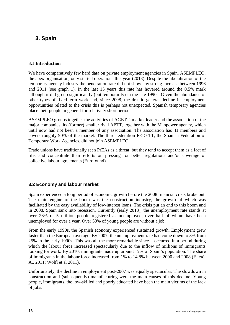## <span id="page-23-0"></span>**3. Spain**

#### <span id="page-23-1"></span>**3.1 Introduction**

We have comparatively few hard data on private employment agencies in Spain. ASEMPLEO, the apex organisation, only started operations this year (2013). Despite the liberalisation of the temporary agency industry the penetration rate did not show any strong increase between 1996 and 2011 (see graph 1). In the last 15 years this rate has hovered around the 0.5% mark although it did go up significantly (but temporarily) in the late 1990s. Given the abundance of other types of fixed-term work and, since 2008, the drastic general decline in employment opportunities related to the crisis this is perhaps not unexpected. Spanish temporary agencies place their people in general for relatively short periods.

ASEMPLEO groups together the activities of AGETT, market leader and the association of the major companies, its (former) smaller rival AETT, together with the Manpower agency, which until now had not been a member of any association. The association has 41 members and covers roughly 90% of the market. The third federation FEDETT, the Spanish Federation of Temporary Work Agencies, did not join ASEMPLEO.

Trade unions have traditionally seen PrEAs as a threat, but they tend to accept them as a fact of life, and concentrate their efforts on pressing for better regulations and/or coverage of collective labour agreements (Eurofound).

#### <span id="page-23-2"></span>**3.2 Economy and labour market**

Spain experienced a long period of economic growth before the 2008 financial crisis broke out. The main engine of the boom was the construction industry, the growth of which was facilitated by the easy availability of low-interest loans. The crisis put an end to this boom and in 2008, Spain sank into recession. Currently (early 2013), the unemployment rate stands at over 26% or 5 million people registered as unemployed, over half of whom have been unemployed for over a year. Over 50% of young people are without a job.

From the early 1990s, the Spanish economy experienced sustained growth. Employment grew faster than the European average. By 2007, the unemployment rate had come down to 8% from 25% in the early 1990s, This was all the more remarkable since it occurred in a period during which the labour force increased spectacularly due to the inflow of millions of immigrants looking for work. By 2010, immigrants made up around 12% of Spain's population. The share of immigrants in the labour force increased from 1% to 14.8% between 2000 and 2008 (Éltetö, A., 2011; Wölfl et al 2011).

Unfortunately, the decline in employment post-2007 was equally spectacular. The slowdown in construction and (subsequently) manufacturing were the main causes of this decline. Young people, immigrants, the low-skilled and poorly educated have been the main victims of the lack of jobs.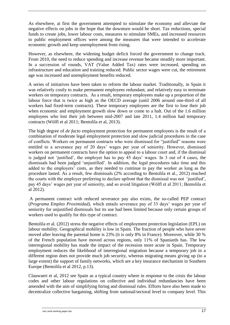As elsewhere, at first the government attempted to stimulate the economy and alleviate the negative effects on jobs in the hope that the downturn would be short. Tax reductions, special funds to create jobs, lower labour costs, measures to stimulate SMEs, and increased resources to public employment offices were among the measures that were intended to accelerate economic growth and keep unemployment from rising.

However, as elsewhere, the widening budget deficit forced the government to change track. From 2010, the need to reduce spending and increase revenue became steadily more important. In a succession of rounds, VAT (Value Added Tax) rates were increased, spending on infrastructure and education and training reduced. Public sector wages were cut, the retirement age was increased and unemployment benefits reduced.

A series of initiatives have been taken to reform the labour market. Traditionally, in Spain it was relatively costly to make permanent employees redundant, and relatively easy to terminate workers on temporary contracts. As a result, temporary employees make up a proportion of the labour force that is twice as high as the OECD average (until 2006 around one-third of all workers had fixed-term contracts). These temporary employees are the first to lose their job when economic and employment growth slow down or come to a halt. Out of the 1.6 million employees who lost their job between mid-2007 and late 2011, 1.4 million had temporary contracts (Wölfl et al 2011; Bentolila et al, 2013).

The high degree of *de facto* employment protection for permanent employees is the result of a combination of moderate legal employment protection and slow judicial procedures in the case of conflicts. Workers on permanent contracts who were dismissed for "justified" reasons were entitled to a severance pay of 20 days' wages per year of seniority. However, dismissed workers on permanent contracts have the option to appeal to a labour court and, if the dismissal is judged not 'justified', the employer has to pay 45 days' wages. In 3 out of 4 cases, the dismissals had been judged 'unjustified'. In addition, the legal procedures take time and this added to the employers' costs, as they needed to continue to pay the worker as long as the procedure lasted. As a result, few dismissals (2% according to Bentolila et al., 2012) reached the courts with the employer preferring to declare upfront that the dismissal was not 'justified', pay 45 days' wages per year of seniority, and so avoid litigation (Wölfl et al 2011; Bentolila et al 2012).

A permanent contract with reduced severance pay also exists, the so-called PEP contract (*Programa Empleo Proximidad),* which entails severance pay of 33 days' wages per year of seniority for unjustified dismissals but its use had been limited because only certain groups of workers used to qualify for this type of contract.

Bentolila et al. (2012) stress the negative effects of employment protection legislation (EPL) on labour mobility. Geographical mobility is low in Spain. The fraction of people who have never moved after leaving the parental home is 23% (it is only 8% in France). Moreover, while 30 % of the French population have moved across regions, only 11% of Spaniards has. The low interregional mobility has made the impact of the recession more acute in Spain. Temporary employment reduces the likelihood of interregional migration because a temporary job in a different region does not provide much job security, whereas migrating means giving up (to a large extent) the support of family networks, which are a key insurance mechanism in Southern Europe (Bentolila et al 2012, p.13).

Clauwaert et al, 2012 see Spain as a typical country where in response to the crisis the labour codes and other labour regulations on collective and individual redundancies have been amended with the aim of simplifying hiring and dismissal rules. Efforts have also been made to decentralize collective bargaining, shifting from national/sectoral level to company level. This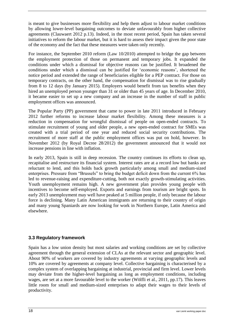is meant to give businesses more flexibility and help them adjust to labour market conditions by allowing lower-level bargaining outcomes to deviate unfavourably from higher collective agreements (Clauwaert 2012 p.13). Indeed, in the most recent period, Spain has taken several initiatives to reform the labour market, but it is hard to assess their impact given the poor state of the economy and the fact that these measures were taken only recently.

For instance, the September 2010 reform (Law 10/2010) attempted to bridge the gap between the employment protection of those on permanent and temporary jobs. It expanded the conditions under which a dismissal for objective reasons can be justified. It broadened the conditions under which a dismissal can be justified for 'economic reasons', shortened the notice period and extended the range of beneficiaries eligible for a PEP contract. For those on temporary contracts, on the other hand, the compensation for dismissal was to rise gradually from 8 to 12 days (by January 2015). Employers would benefit from tax benefits when they hired an unemployed person younger than 31 or older than 45 years of age. In December 2010, it became easier to set up a new company and an increase in the number of staff in public employment offices was announced.

The Popular Party (PP) government that came to power in late 2011 introduced in February 2012 further reforms to increase labour market flexibility. Among these measures is a reduction in compensation for wrongful dismissal of people on open-ended contracts. To stimulate recruitment of young and older people, a new open-ended contract for SMEs was created with a trial period of one year and reduced social security contributions. The recruitment of more staff at the public employment offices was put on hold, however. In November 2012 (by Royal Decree 28/2012) the government announced that it would not increase pensions in line with inflation.

In early 2013, Spain is still in deep recession. The country continues its efforts to clean up, recapitalise and restructure its financial system. Interest rates are at a record low but banks are reluctant to lend, and this holds back growth particularly among small and medium-sized enterprises. Pressure from "Brussels" to bring the budget deficit down from the current 6% has led to revenue-raising and expenditure-cutting, both not exactly growth-stimulating activities. Youth unemployment remains high. A new government plan provides young people with incentives to become self-employed. Exports and earnings from tourism are bright spots. In early 2013 unemployment may well have peaked at 5 million people, if only because the labour force is declining. Many Latin American immigrants are returning to their country of origin and many young Spaniards are now looking for work in Northern Europe, Latin America and elsewhere.

#### <span id="page-25-0"></span>**3.3 Regulatory framework**

Spain has a low union density but most salaries and working conditions are set by collective agreement through the general extension of CLAs at the relevant sector and geographic level. About 90% of workers are covered by industry agreements at varying geographic levels and 10% are covered by agreements at company level. Collective bargaining is characterised by a complex system of overlapping bargaining at industrial, provincial and firm level. Lower levels may deviate from the higher-level bargaining as long as employment conditions, including wages, are set at a more favourable level to the worker (Wölfli et al., 2011, pp.17). This leaves little room for small and medium-sized enterprises to adapt their wages to their levels of productivity.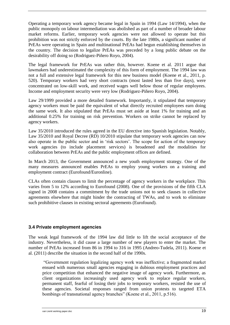Operating a temporary work agency became legal in Spain in 1994 (Law 14/1994), when the public monopoly on labour intermediation was abolished as part of a number of broader labour market reforms. Earlier, temporary work agencies were not allowed to operate but this prohibition was not strictly enforced by the courts. By the late 1980s, a significant number of PrEAs were operating in Spain and multinational PrEAs had begun establishing themselves in the country. The decision to legalize PrEAs was preceded by a long public debate on the desirability off doing so (Rodriguez-Piñero Royo, 2004).

The legal framework for PrEAs was rather thin, however. Koene et al. 2011 argue that lawmakers had underestimated the complexity of this form of employment. The 1994 law was not a full and extensive legal framework for this new business model (Koene et al., 2011, p. 520). Temporary workers had very short contracts (most lasted less than five days), were concentrated on low-skill work, and received wages well below those of regular employees. Income and employment security were very low (Rodriguez-Piñero Royo, 2004).

Law 29/1999 provided a more detailed framework. Importantly, it stipulated that temporary agency workers must be paid the equivalent of what directly recruited employees earn doing the same work. It also stipulated that PrEAs must set aside at least 1% for training and an additional 0.25% for training on risk prevention. Workers on strike cannot be replaced by agency workers.

Law 35/2010 introduced the rules agreed in the EU directive into Spanish legislation. Notably, Law 35/2010 and Royal Decree (RD) 10/2010 stipulate that temporary work agencies can now also operate in the public sector and in 'risk sectors'. The scope for action of the temporary work agencies (to include placement services) is broadened and the modalities for collaboration between PrEAs and the public employment offices are defined.

In March 2013, the Government announced a new youth employment strategy. One of the many measures announced enables PrEAs to employ young workers on a training and employment contract (Eurofound/Euronline).

CLAs often contain clauses to limit the percentage of agency workers in the workplace. This varies from 5 to 12% according to Eurofound (2008). One of the provisions of the fifth CLA signed in 2008 contains a commitment by the trade unions not to seek clauses in collective agreements elsewhere that might hinder the contracting of TWAs, and to work to eliminate such prohibitive clauses in existing sectoral agreements (Eurofound).

#### <span id="page-26-0"></span>**3.4 Private employment agencies**

The weak legal framework of the 1994 law did little to lift the social acceptance of the industry. Nevertheless, it did cause a large number of new players to enter the market. The number of PrEAs increased from 86 in 1994 to 316 in 1995 (Andreo-Tudela, 2011). Koene et al. (2011) describe the situation in the second half of the 1990s.

"Government regulation legalizing agency work was ineffective; a fragmented market ensued with numerous small agencies engaging in dubious employment practices and price competition that enhanced the negative image of agency work. Furthermore, as client organizations increasingly used agency work to replace regular workers, permanent staff, fearful of losing their jobs to temporary workers, resisted the use of these agencies. Societal responses ranged from union protests to targeted ETA bombings of transnational agency branches" (Koene et al., 2011, p.516).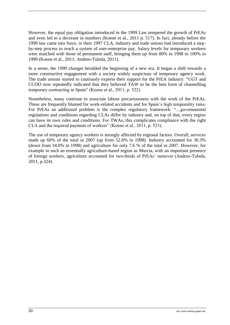However, the equal pay obligation introduced in the 1999 Law tempered the growth of PrEAs and even led to a decrease in numbers (Koene et al., 2011 p. 517). In fact, already before the 1999 law came into force, in their 1997 CLA, industry and trade unions had introduced a stepby-step process to reach a system of user-enterprise pay. Salary levels for temporary workers were matched with those of permanent staff, bringing them up from 80% in 1998 to 100% in 1999 (Koene et al., 2011; Andreo-Tuleda, 2011).

In a sense, the 1999 changes heralded the beginning of a new era. It began a shift towards a more constructive engagement with a society widely suspicious of temporary agency work. The trade unions started to cautiously express their support for the PrEA industry: "UGT and CCOO now repeatedly indicated that they believed TAW to be the best form of channelling temporary contracting in Spain" (Koene et al., 2011, p. 522).

Nonetheless, many continue to associate labour precariousness with the work of the PrEAs. These are frequently blamed for work-related accidents and for Spain's high temporality rates. For PrEAs an additional problem is the complex regulatory framework. "....governmental regulations and conditions regarding CLAs differ by industry and, on top of that, every region can have its own rules and conditions. For TWAs, this complicates compliance with the right CLA and the required payment of workers" (Koene et al., 2011, p. 523).

The use of temporary agency workers is strongly affected by regional factors. Overall, services made up 60% of the total in 2007 (up from 52.6% in 1998). Industry accounted for 30.3% (down from 34.0% in 1998) and agriculture for only 7.6 % of the total in 2007. However, for example in such an essentially agriculture-based region as Murcia, with an important presence of foreign workers, agriculture accounted for two-thirds of PrEAs' turnover (Andreo-Tuleda, 2011, p.324).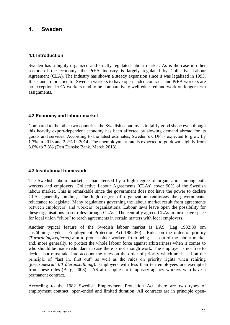## <span id="page-28-0"></span>**4. Sweden**

#### <span id="page-28-1"></span>**4.1 Introduction**

Sweden has a highly organized and strictly regulated labour market. As is the case in other sectors of the economy, the PrEA industry is largely regulated by Collective Labour Agreement (CLA). The industry has shown a steady expansion since it was legalized in 1993. It is standard practice for Swedish workers to have open-ended contracts and PrEA workers are no exception. PrEA workers tend to be comparatively well educated and work on longer-term assignments.

#### <span id="page-28-2"></span>**4.2 Economy and labour market**

Compared to the other two countries, the Swedish economy is in fairly good shape even though this heavily export-dependent economy has been affected by slowing demand abroad for its goods and services. According to the latest estimates, Sweden's GDP is expected to grow by 1.7% in 2013 and 2.2% in 2014. The unemployment rate is expected to go down slightly from 8.0% to 7.8% (Den Danske Bank, March 2013).

#### <span id="page-28-3"></span>**4.3 Institutional framework**

The Swedish labour market is characterised by a high degree of organisation among both workers and employers. Collective Labour Agreements (CLAs) cover 90% of the Swedish labour market. This is remarkable since the government does not have the power to declare CLAs generally binding. The high degree of organization reinforces the governments' reluctance to legislate. Many regulations governing the labour market result from agreements between employers' and workers' organisations. Labour laws leave open the possibility for these organisations to set rules through CLAs. The centrally agreed CLAs in turn leave space for local union "clubs" to reach agreements in certain matters with local employers.

Another typical feature of the Swedish labour market is LAS (Lag 1982:80 om anställningsskydd – Employment Protection Act 1982:80). Rules on the order of priority (*Turordningsreglerna)* aim to protect older workers from being cast out of the labour market and, more generally, to protect the whole labour force against arbitrariness when it comes to who should be made redundant in case there is not enough work. The employer is not free to decide, but must take into account the rules on the order of priority which are based on the principle of "last in, first out" as well as the rules on priority rights when rehiring (*företrädesrätt till återanställning*). Employers with less than ten employees are exempted from these rules (Berg, 2008). LAS also applies to temporary agency workers who have a permanent contract.

According to the 1982 Swedish Employment Protection Act, there are two types of employment contract: open-ended and limited duration. All contracts are in principle open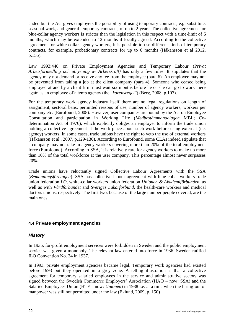ended but the Act gives employers the possibility of using temporary contracts, e.g. substitute, seasonal work, and general temporary contracts, of up to 2 years. The collective agreement for blue-collar agency workers is stricter than the legislation in this respect with a time-limit of 6 months, which may be extended to 12 months if locally agreed. According to the collective agreement for white-collar agency workers, it is possible to use different kinds of temporary contracts, for example, probationary contracts for up to 6 months (Håkansson et al 2012, p.155).

Law 1993:440 on Private Employment Agencies and Temporary Labour (P*rivat Arbetsförmedling och uthyrning av Arbetskraft)* has only a few rules. It stipulates that the agency may not demand or receive any fee from the employee (para 6). An employee may not be prevented from taking a job at the client company (para 4). Someone who ceased being employed at and by a client firm must wait six months before he or she can go to work there again as an employee of a temp agency (the "*karensregel*") (Berg, 2008, p.107).

For the temporary work agency industry itself there are no legal regulations on length of assignment, sectoral bans, permitted reasons of use, number of agency workers, workers per company etc. (Eurofound, 2008). However, user companies are bound by the Act on Employee Consultation and participation in Working Life (*Medbestämmandelagen* MBL; Codetermination Act of 1976), which explicitly obliges an employer to inform the trade union holding a collective agreement at the work place about such work before using external (i.e. agency) workers. In some cases, trade unions have the right to veto the use of external workers (Håkansson et al., 2007, p.129-130). According to Eurofound, some CLAs indeed stipulate that a company may not take in agency workers covering more than 20% of the total employment force (Eurofound). According to SSA, it is relatively rare for agency workers to make up more than 10% of the total workforce at the user company. This percentage almost never surpasses 20%.

Trade unions have reluctantly signed Collective Labour Agreements with the SSA (*Bemanningsföretagen*). SSA has collective labour agreement with blue-collar workers trade union federation *LO*, white-collar workers union federation *Unionen & Akademiförbunden*, as well as with *Vårdförbundet* and *Sveriges Läkarförbund,* the health-care workers and medical doctors unions, respectively. The first two, because of the large number people covered, are the main ones.

## <span id="page-29-0"></span>**4.4 Private employment agencies**

#### <span id="page-29-1"></span>*History*

In 1935, for-profit employment services were forbidden in Sweden and the public employment service was given a monopoly. The relevant law entered into force in 1936. Sweden ratified ILO Convention No. 34 in 1937.

In 1993, private employment agencies became legal. Temporary work agencies had existed before 1993 but they operated in a grey zone. A telling illustration is that a collective agreement for temporary salaried employees in the service and administrative sectors was signed between the Swedish Commerce Employers' Association (HAO – now: SSA) and the Salaried Employees Union (HTF – now: *Unionen*) in 1988 i.e. at a time when the hiring-out of manpower was still not permitted under the law (Eklund, 2009, p. 150)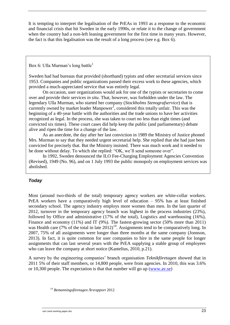It is tempting to interpret the legalisation of the PrEAs in 1993 as a response to the economic and financial crisis that hit Sweden in the early 1990s, or relate it to the change of government when the country had a non-left leaning government for the first time in many years. However, the fact is that this legalisation was the result of a long process (see e.g. Box 6).

<span id="page-30-0"></span>Box 6: Ulla Murman's long battle<sup>1</sup>

Sweden had had bureaus that provided (shorthand) typists and other secretarial services since 1953. Companies and public organizations passed their excess work to these agencies, which provided a much-appreciated service that was entirely legal.

On occasion, user organizations would ask for one of the typists or secretaries to come over and provide their services *in situ*. That, however, was forbidden under the law. The legendary Ulla Murman, who started her company (*Stockholms Stenografservice*) that is currently owned by market leader Manpower<sup>1</sup>, considered this totally unfair. This was the beginning of a 40-year battle with the authorities and the trade unions to have her activities recognized as legal. In the process, she was taken to court no less than eight times (and convicted six times). These court cases did help keep the public (and parliamentary) debate alive and ripen the time for a change of the law.

As an anecdote, the day after her last conviction in 1989 the Ministry of Justice phoned Mrs. Murman to say that they needed urgent secretarial help. She replied that she had just been convicted for precisely that. But the Ministry insisted. There was much work and it needed to be done without delay. To which she replied: "OK, we'll send someone over".

In 1992, Sweden denounced the ILO Fee-Charging Employment Agencies Convention (Revised), 1949 (No. 96), and on 1 July 1993 the public monopoly on employment services was abolished.

## *Today*

Most (around two-thirds of the total) temporary agency workers are white-collar workers. PrEA workers have a comparatively high level of education – 95% has at least finished secondary school. The agency industry employs more women than men. In the last quarter of 2012, turnover in the temporary agency branch was highest in the process industries (23%), followed by Office and administrative (17% of the total), Logistics and warehousing (16%), Finance and economy (11%) and IT (9%). The fastest-growing sector (50% more than 2011) was Health care (7% of the total in late  $2012$ )<sup>14</sup>. Assignments tend to be comparatively long. In 2007, 75% of all assignments were longer than three months at the same company (Jonnson, 2013). In fact, it is quite common for user companies to hire in the same people for longer assignments that can last several years with the PrEA supplying a stable group of employees who can leave the company at short notice (Kantelius, 2010, p.21).

A survey by the engineering companies' branch organisation *Teknikföretagen* showed that in 2011 5% of their staff members, or 14,800 people, were from agencies. In 2010, this was 3.6% or 10,300 people. The expectation is that that number will go up [\(www.av.se\)](http://www.av.se/)

<sup>14</sup> *Bemanningsföretagen Årsrapport* 2012

van Liemt working paper.doc 23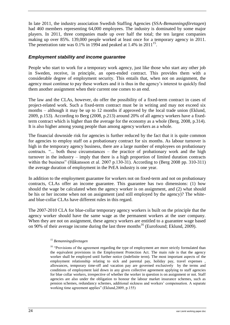In late 2011, the industry association Swedish Staffing Agencies (SSA-*Bemanningsföretagen*) had 460 members representing 64,000 employees. The industry is dominated by some major players. In 2011, three companies made up over half the total; the ten largest companies making up over 85%. 139,000 people worked at least once for a temporary agency in 2011. The penetration rate was  $0.1\%$  in 1994 and peaked at 1.4% in 2011<sup>15</sup>.

#### <span id="page-31-0"></span>*Employment stability and income guarantee*

People who start to work for a temporary work agency, just like those who start any other job in Sweden, receive, in principle, an open-ended contract. This provides them with a considerable degree of employment security. This entails that, when not on assignment, the agency must continue to pay these workers and it is thus in the agency's interest to quickly find them another assignment when their current one comes to an end.

The law and the CLAs, however, do offer the possibility of a fixed-term contract in cases of project-related work. Such a fixed-term contract must be in writing and may not exceed six months – although it may be up to 12 months if approved by the local trade union (Eklund, 2009, p.153). According to Berg (2008, p.213) around 20% of all agency workers have a fixedterm contract which is higher than the average for the economy as a whole (Berg, 2008, p.314). It is also higher among young people than among agency workers as a whole.

The financial downside risk for agencies is further reduced by the fact that it is quite common for agencies to employ staff on a probationary contract for six months. As labour turnover is high in the temporary agency business, there are a large number of employees on probationary contracts. "... both these circumstances – the practice of probationary work and the high turnover in the industry – imply that there is a high proportion of limited duration contracts within the business" (Håkansson et al. 2007 p.130-31). According to (Berg 2008 pp. 310-311) the average duration of employment in the PrEA industry is one year.

In addition to the employment guarantee for workers not on fixed-term and not on probationary contracts, CLAs offer an income guarantee. This guarantee has two dimensions: (1) how should the wage be calculated when the agency worker is on assignment, and (2) what should be his or her income when not on assignment (and still employed by the agency)? The whiteand blue-collar CLAs have different rules in this regard.

The 2007-2010 CLA for blue-collar temporary agency workers is built on the principle that the agency worker should have the same wage as the permanent workers at the user company. When they are not on assignment, these agency workers are entitled to a guarantee wage based on 90% of their average income during the last three months<sup>16</sup> (Eurofound; Eklund, 2009).

#### <sup>15</sup> *Bemanningsföretagen*

<sup>16</sup> "Provisions of the agreement regarding the type of employment are more strictly formulated than the equivalent provisions in the Employment Protection Act. The main rule is that the agency worker shall be employed until further notice (indefinite term). The most important aspects of the employment relationship relating to sick and parental pay, holiday pay, travel expenses , allowances, temporary time-off and vacation pay are governed exclusively by the terms and conditions of employment laid down in any given collective agreement applying to staff agencies for blue collar workers, irrespective of whether the worker in question is on assignment or not. Staff agencies are also under the obligation to honour the labour market insurance schemes, such as pension schemes, redundancy schemes, additional sickness and workers' compensation. A separate working time agreement applies" (Eklund,2009, p.155)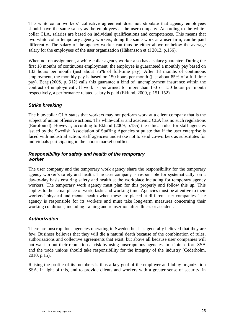The white-collar workers' collective agreement does not stipulate that agency employees should have the same salary as the employees at the user company. According to the whitecollar CLA, salaries are based on individual qualifications and competences. This means that two white-collar temporary agency workers, doing the same work at a user firm, can be paid differently. The salary of the agency worker can thus be either above or below the average salary for the employees of the user organization (Håkansson et al 2012, p.156).

When not on assignment, a white-collar agency worker also has a salary guarantee. During the first 18 months of continuous employment, the employee is guaranteed a monthly pay based on 133 hours per month (just about 75% of full-time pay). After 18 months of continuous employment, the monthly pay is based on 150 hours per month (just about 85% of a full time pay). Berg (2008, p. 312) calls this guarantee a kind of 'unemployment insurance within the contract of employment'. If work is performed for more than 133 or 150 hours per month respectively, a performance related salary is paid (Eklund, 2009, p.151-152).

#### <span id="page-32-0"></span>*Strike breaking*

The blue-collar CLA states that workers may not perform work at a client company that is the subject of union offensive actions. The white-collar and academic CLA has no such regulations (Eurofound). However, according to Eklund (2009, p.155) the ethical rules for staff agencies issued by the Swedish Association of Staffing Agencies stipulate that if the user enterprise is faced with industrial action, staff agencies undertake not to send co-workers as substitutes for individuals participating in the labour market conflict.

#### <span id="page-32-1"></span>*Responsibility for safety and health of the temporary worker*

The user company and the temporary work agency share the responsibility for the temporary agency worker's safety and health. The user company is responsible for systematically, on a day-to-day basis ensuring safety and health at the workplace including for temporary agency workers. The temporary work agency must plan for this properly and follow this up. This applies to the actual place of work, tasks and working time. Agencies must be attentive to their workers' physical and mental health when these are placed at different user companies. The agency is responsible for its workers and must take long-term measures concerning their working conditions, including training and reinsertion after illness or accident.

#### <span id="page-32-2"></span>*Authorization*

There are unscrupulous agencies operating in Sweden but it is generally believed that they are few. Business believes that they will die a natural death because of the combination of rules, authorizations and collective agreements that exist, but above all because user companies will not want to put their reputation at risk by using unscrupulous agencies. In a joint effort, SSA and the trade unions should take responsibility for the integrity of the industry (Cederholm, 2010, p.15).

Raising the profile of its members is thus a key goal of the employer and lobby organization SSA. In light of this, and to provide clients and workers with a greater sense of security, in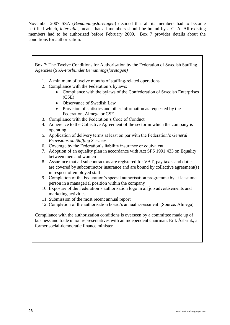November 2007 SSA (*Bemanningsföretagen*) decided that all its members had to become certified which, *inter alia*, meant that all members should be bound by a CLA. All existing members had to be authorized before February 2009. Box 7 provides details about the conditions for authorization.

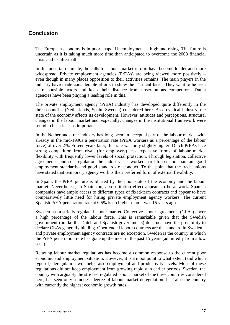## <span id="page-34-0"></span>**Conclusion**

The European economy is in poor shape. Unemployment is high and rising. The future is uncertain as it is taking much more time than anticipated to overcome the 2008 financial crisis and its aftermath.

In this uncertain climate, the calls for labour market reform have become louder and more widespread. Private employment agencies (PrEAs) are being viewed more positively – even though in many places opposition to their activities remains. The main players in the industry have made considerable efforts to show their "social face". They want to be seen as responsible actors and keep their distance from unscrupulous competitors. Dutch agencies have been playing a leading role in this.

The private employment agency (PrEA) industry has developed quite differently in the three countries (Netherlands, Spain, Sweden) considered here. As a cyclical industry, the state of the economy affects its development. However, attitudes and perceptions, structural changes in the labour market and, especially, changes in the institutional framework were found to be at least as important.

In the Netherlands, the industry has long been an accepted part of the labour market with already in the mid-1990s a penetration rate (PrEA workers as a percentage of the labour force) of over 2%. Fifteen years later, this rate was only slightly higher. Dutch PrEAs face strong competition from rival, (for employers) less expensive forms of labour market flexibility with frequently lower levels of social protection. Through legislation, collective agreements, and self-regulation the industry has worked hard to set and maintain good employment standards and good standards of conduct. To the point that the trade unions have stated that temporary agency work is their preferred form of external flexibility.

In Spain, the PrEA picture is blurred by the poor state of the economy and the labour market. Nevertheless, in Spain too, a substitution effect appears to be at work. Spanish companies have ample access to different types of fixed-term contracts and appear to have comparatively little need for hiring private employment agency workers. The current Spanish PrEA penetration rate at 0.5% is no higher than it was 15 years ago.

Sweden has a strictly regulated labour market. Collective labour agreements (CLAs) cover a high percentage of the labour force. This is remarkable given that the Swedish government (unlike the Dutch and Spanish governments) does not have the possibility to declare CLAs generally binding. Open-ended labour contracts are the standard in Sweden – and private employment agency contracts are no exception. Sweden is the country in which the PrEA penetration rate has gone up the most in the past 15 years (admittedly from a low base).

Relaxing labour market regulations has become a common response to the current poor economic and employment situation. However, it is a moot point to what extent (and which type of) deregulation will help raise employment and productivity levels. Most of these regulations did not keep employment from growing rapidly in earlier periods. Sweden, the country with arguably the strictest regulated labour market of the three countries considered here, has seen only a modest degree of labour market deregulation. It is also the country with currently the highest economic growth rates.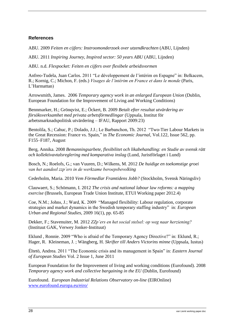#### <span id="page-35-0"></span>**References**

ABU. 2009 *Feiten en cijfers: Instroomonderzoek over utzendkrachten* (ABU, Lijnden)

ABU. 2011 *Inspiring Journey, Inspired sector: 50 years ABU* (ABU, Lijnden)

ABU. n.d. *Flexpocket: Feiten en cijfers over flexibele arbeidsvormen*

Anfreo-Tudela, Juan Carlos. 2011 "Le développement de l'intérim en Espagne" in: Belkacem, R.; Kornig, C.; Michon, F. (eds.) *Visages de l'intérim en France et dans le monde* (Paris, L'Harmattan)

Arrowsmith, James. 2006 *Temporary agency work in an enlarged European Union* (Dublin, European Foundation for the Improvement of Living and Working Conditions)

Bennmarker, H.; Grönqvist, E.; Öckert, B. 2009 *Betalt efter resultat utvärdering av försöksverksamhet med privata arbetsförmedlingar* (Uppsala, Institut för arbetsmarknadspolitisk utvärdering – IFAU, Rapport 2009:23)

Bentolila, S.; Cahuc, P.; Dolado, J.J.; Le Barbanchon, Th. 2012 "Two-Tier Labour Markets in the Great Recession: France vs. Spain," in *The Economic Journal,* Vol.122, Issue 562, pp. F155–F187, August

Berg, Annika. 2008 *Bemanningsarbete, flexibilitet och likabehandling: en Studie av svensk rätt och kollektivavtalsreglering med komparativa inslag* (Lund, Juristförlaget i Lund)

Bosch, N.; Roelofs, G.; van Vuuren, D.; Wilkens, M. 2012 *De huidige en toekomstige groei van het aandeel zzp'ers in de werkzame beroepsbevolking*

Cederholm, Maria. 2010 *Vem Förmedlar Framtidens Jobb?* (Stockholm, Svensk Näringsliv)

Clauwaert, S.; Schömann, I. 2012 *The crisis and national labour law reforms: a mapping exercise* (Brussels, European Trade Union Institute, ETUI Working paper 2012.4)

Coe, N.M.; Johns, J.; Ward, K. 2009 "Managed flexibility: Labour regulation, corporate strategies and market dynamics in the Swedish temporary staffing industry" in: *European Urban and Regional Studies,* 2009 16(1), pp. 65-85

Dekker, F.; Stavenuiter, M. 2012 *ZZp'ers en het social stelsel: op weg naar herziening?* (Instituut GAK, Verwey Jonker-Instituut)

Eklund , Ronnie. 2009 "Who is afraid of the Temporary Agency Directive?" in: Eklund, R.; Hager, R. Kleineman, J. ; Wängberg, H. *Skrifter till Anders Victorins minne* (Uppsala, Iustus)

Éltetö, Andrea. 2011 "The Economic crisis and its management in Spain" in: *Eastern Journal of European Studies* Vol. 2 Issue 1, June 2011

European Foundation for the Improvement of living and working conditions (Eurofound). 2008 *Temporary agency work and collective bargaining in the EU (Dublin, Eurofound)* 

Eurofound. *European Industrial Relations Observatory on-line* (EIROnline) [www.eurofound.europa.eu/eiro/](http://www.eurofound.europa.eu/eiro/)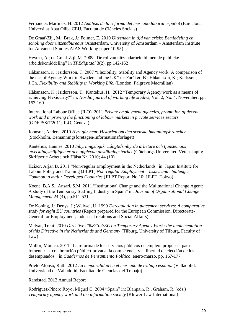Fernández Martínez, H. 2012 *Análisis de la reforma del mercado laboral espa*ñol (Barcelona, Universitat Abat Oliba CEU, Facultat de Ciències Socials)

De Graaf-Zijl, M.; Brak, J.; Folmer, E. 2010 *Uitzenden in tijd van crisis: Bemiddeling en scholing door uitzendbureaus* (Amsterdam, University of Amsterdam – Amsterdam Institute for Advanced Studies AIAS Working paper 10-95)

Heyma, A.; de Graaf-Zijl, M. 2009 "De rol van uitzendarbeid binnen de publieke arbeidsbemiddeling" in *TPEdigitaal* 3(2), pp.142-162

Håkansson, K.; Isidorsson, T. 2007 "Flexibility, Stability and Agency work: A comparison of the use of Agency Work in Sweden and the UK" in: Furåker, B.; Håkansson, K.; Karlsson, J.Ch. *Flexibility and Stability in Working Life,* (London, Palgrave Macmillan)

Håkansson, K.; Isidorsson, T.; Kantelius, H. 2012 "Temporary Agency work as a means of achieving Flexicurity?" in: *Nordic journal of working life studies,* Vol. 2, No. 4, November, pp. 153-169

International Labour Office (ILO). 2011 *Private employment agencies, promotion of decent work and improving the functioning of labour markets in private services sectors* (GDFPSS/7/2011; ILO, Geneva)

Johnson, Anders. 2010 *Hyrt går hem: Historien om den svenska bmanningsbranchen*  (Stockholm, Bemanningsföretagen/Informationsförlaget)

Kantelius, Hannes. 2010 *Inhyrningslogik: Långtidsinhyrda arbetare och tjänstemäns utvecklingsmöjligheter och upplevda anställningsbarhet* (Göteborgs Universitet, Vetenskaplig Skriftserie Arbete och Hälsa Nr. 2010; 44 (10)

Keizer, Arjan B. 2011 "Non-regular Employment in the Netherlands" in: Japan Institute for Labour Policy and Training (JILPT) *Non-regular Employment – Issues and challenges Common to major Developed Countries* (JILPT Report No.10; JILPT, Tokyo)

Koene, B.A.S.; Ansari, S.M. 2011 "Institutional Change and the Mulitnational Change Agent: A study of the Temporary Staffing Industry in Spain" in: *Journal of Organisational Change Management* 24 (4), pp.511-531

De Koning, J.; Denys, J.; Walwei, U. 1999 *Deregulation in placement services: A comparative study for eight EU countries* (Report prepared for the European Commission, Directorate-General for Employment, Industrial relations and Social Affairs)

Malyar, Treni. 2010 *Directive 2008/104/EC on Temporary Agency Work: the implementation of this Directive in the Netherlands and Germany* (Tilburg, University of Tilburg, Faculty of Law)

Mullor, Mónica. 2011 "La reforma de los servicios públicos de empleo: propuesta para fomentar la colaboración público-privada, la competencia y la libertad de elección de los desempleados" in *Cuadernos de Pensamiento Político*, enero/marzo, pp. 167-177

Prieto Alonso, Ruth. 2012 *La temporalidad en el mercado de trabajo español* (Valladolid, Universidad de Valladolid, Facultad de Ciencias del Trabajo)

Randstad. 2012 Annual Report

Rodriguez-Piñero Royo, Miguel C. 2004 "Spain" in: Blanpain, R.; Graham, R. (eds.) *Temporary agency work and the information society* (Kluwer Law International)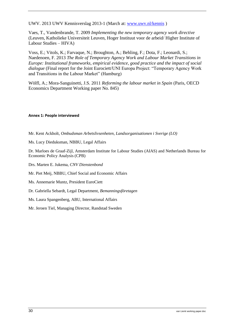UWV. 2013 UWV Kennisverslag 2013-1 (March at: [www.uwv.nl/kennis](http://www.uwv.nl/kennis) )

Vaes, T., Vandenbrande, T. 2009 *Implementing the new temporary agency work directive*  (Leuven, Katholieke Universiteit Leuven, Hoger Instituut voor de arbeid/ Higher Institute of Labour Studies – HIVA)

Voss, E.; Vitols, K.; Farvaque, N.; Broughton, A.; Behling, F.; Dota, F.; Leonardi, S.; Naedenoen, F. 2013 *The Role of Temporary Agency Work and Labour Market Transitions in Europe: Institutional frameworks, empirical evidence, good practice and the impact of social dialogue* (Final report for the Joint Eurociett/UNI Europa Project: "Temporary Agency Work and Transitions in the Labour Market" (Hamburg)

Wölfl, A.; Mora-Sanguinetti, J.S. 2011 *Reforming the labour market in Spain* (Paris, OECD Economics Department Working paper No. 845)

#### **Annex 1: People interviewed**

Mr. Kent Ackholt, *Ombudsman Arbetslivsenheten*, *Landsorganisationen i Sverige (LO)*

Ms. Lucy Dieduksman, NBBU, Legal Affairs

Dr. Marloes de Graaf-Zijl, Amsterdam Institute for Labour Studies (AIAS) and Netherlands Bureau for Economic Policy Analysis (CPB)

Drs. Marten E. Jukema, *CNV Dienstenbond*

Mr. Piet Meij, NBBU, Chief Social and Economic Affairs

Ms. Annemarie Muntz, President EuroCiett

Dr. Gabriella Sebardt, Legal Department, *Bemanningsföretagen*

Ms. Laura Spangenberg, ABU, International Affairs

Mr. Jeroen Tiel, Managing Director, Randstad Sweden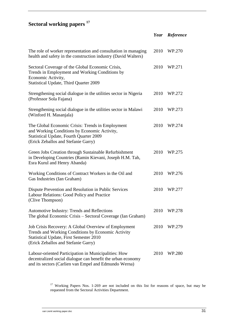## **Sectoral working papers <sup>17</sup>**

|                                                                                                                                                                                                     |      | Year Reference |
|-----------------------------------------------------------------------------------------------------------------------------------------------------------------------------------------------------|------|----------------|
| The role of worker representation and consultation in managing<br>health and safety in the construction industry (David Walters)                                                                    | 2010 | WP.270         |
| Sectoral Coverage of the Global Economic Crisis,<br>Trends in Employment and Working Conditions by<br>Economic Activity,<br><b>Statistical Update, Third Quarter 2009</b>                           | 2010 | WP.271         |
| Strengthening social dialogue in the utilities sector in Nigeria<br>(Professor Sola Fajana)                                                                                                         | 2010 | WP.272         |
| Strengthening social dialogue in the utilities sector in Malawi<br>(Winford H. Masanjala)                                                                                                           | 2010 | WP.273         |
| The Global Economic Crisis: Trends in Employment<br>and Working Conditions by Economic Activity,<br><b>Statistical Update, Fourth Quarter 2009</b><br>(Erick Zeballos and Stefanie Garry)           | 2010 | WP.274         |
| Green Jobs Creation through Sustainable Refurbishment<br>in Developing Countries (Ramin Kievani, Joseph H.M. Tah,<br>Esra Kurul and Henry Abanda)                                                   | 2010 | WP.275         |
| Working Conditions of Contract Workers in the Oil and<br>Gas Industries (Ian Graham)                                                                                                                | 2010 | WP.276         |
| Dispute Prevention and Resolution in Public Services<br>Labour Relations: Good Policy and Practice<br>(Clive Thompson)                                                                              | 2010 | WP.277         |
| Automotive Industry: Trends and Reflections<br>The global Economic Crisis - Sectoral Coverage (Ian Graham)                                                                                          | 2010 | WP.278         |
| Job Crisis Recovery: A Global Overview of Employment<br>Trends and Working Conditions by Economic Activity<br><b>Statistical Update, First Semester 2010</b><br>(Erick Zeballos and Stefanie Garry) | 2010 | WP.279         |
| Labour-oriented Participation in Municipalities: How<br>decentralized social dialogue can benefit the urban economy<br>and its sectors (Carlien van Empel and Edmundo Werna)                        | 2010 | WP.280         |

<sup>17</sup> Working Papers Nos. 1-269 are not included on this list for reasons of space, but may be requested from the Sectoral Activities Department.